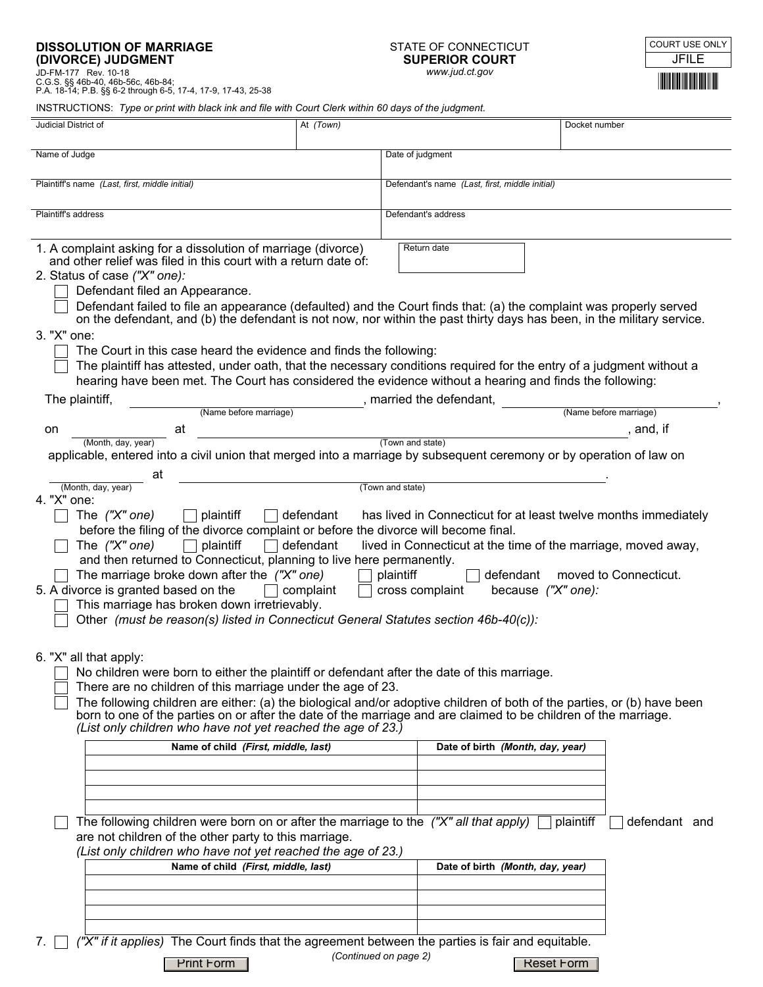## **DISSOLUTION OF MARRIAGE (DIVORCE) JUDGMENT**

JD-FM-177 Rev. 10-18 C.G.S. §§ 46b-40, 46b-56c, 46b-84; P.A. 18-14; P.B. §§ 6-2 through 6-5, 17-4, 17-9, 17-43, 25-38

## STATE OF CONNECTICUT **SUPERIOR COURT**  *www.jud.ct.gov*



INSTRUCTIONS: *Type or print with black ink and file with Court Clerk within 60 days of the judgment.*

| Judicial District of                                                                                                                                                                                                                                                                                                                                                                                                                                                                                                                    | At (Town)                           |                                                                                                                                                                  | Docket number                    |                                     |  |
|-----------------------------------------------------------------------------------------------------------------------------------------------------------------------------------------------------------------------------------------------------------------------------------------------------------------------------------------------------------------------------------------------------------------------------------------------------------------------------------------------------------------------------------------|-------------------------------------|------------------------------------------------------------------------------------------------------------------------------------------------------------------|----------------------------------|-------------------------------------|--|
| Name of Judge                                                                                                                                                                                                                                                                                                                                                                                                                                                                                                                           |                                     | Date of judgment                                                                                                                                                 |                                  |                                     |  |
| Plaintiff's name (Last, first, middle initial)                                                                                                                                                                                                                                                                                                                                                                                                                                                                                          |                                     | Defendant's name (Last, first, middle initial)                                                                                                                   |                                  |                                     |  |
| Plaintiff's address                                                                                                                                                                                                                                                                                                                                                                                                                                                                                                                     | Defendant's address                 |                                                                                                                                                                  |                                  |                                     |  |
| 1. A complaint asking for a dissolution of marriage (divorce)<br>and other relief was filed in this court with a return date of:<br>2. Status of case ("X" one):<br>Defendant filed an Appearance.<br>Defendant failed to file an appearance (defaulted) and the Court finds that: (a) the complaint was properly served<br>on the defendant, and (b) the defendant is not now, nor within the past thirty days has been, in the military service.<br>3. "X" one:<br>The Court in this case heard the evidence and finds the following: |                                     | Return date                                                                                                                                                      |                                  |                                     |  |
| The plaintiff has attested, under oath, that the necessary conditions required for the entry of a judgment without a<br>hearing have been met. The Court has considered the evidence without a hearing and finds the following:                                                                                                                                                                                                                                                                                                         |                                     |                                                                                                                                                                  |                                  |                                     |  |
| The plaintiff,                                                                                                                                                                                                                                                                                                                                                                                                                                                                                                                          |                                     | , married the defendant,                                                                                                                                         |                                  |                                     |  |
| (Name before marriage)<br>at<br>on                                                                                                                                                                                                                                                                                                                                                                                                                                                                                                      |                                     |                                                                                                                                                                  |                                  | (Name before marriage)<br>, and, if |  |
| (Month, day, year)<br>applicable, entered into a civil union that merged into a marriage by subsequent ceremony or by operation of law on                                                                                                                                                                                                                                                                                                                                                                                               |                                     | (Town and state)                                                                                                                                                 |                                  |                                     |  |
| The $('X''$ one)<br>$\Box$ plaintiff<br>before the filing of the divorce complaint or before the divorce will become final.<br>The ("X" one)<br>plaintiff<br>$\vert \ \ \vert$<br>and then returned to Connecticut, planning to live here permanently.<br>The marriage broke down after the ("X" one)<br>5. A divorce is granted based on the<br>This marriage has broken down irretrievably.<br>Other (must be reason(s) listed in Connecticut General Statutes section 46b-40(c)):                                                    | defendant<br>defendant<br>complaint | has lived in Connecticut for at least twelve months immediately<br>lived in Connecticut at the time of the marriage, moved away,<br>plaintiff<br>cross complaint | defendant<br>because ("X" one):  | moved to Connecticut.               |  |
| 6. "X" all that apply:<br>$\Box$ No children were born to either the plaintiff or defendant after the date of this marriage.<br>There are no children of this marriage under the age of 23.<br>The following children are either: (a) the biological and/or adoptive children of both of the parties, or (b) have been<br>born to one of the parties on or after the date of the marriage and are claimed to be children of the marriage.<br>(List only children who have not yet reached the age of 23.)                               |                                     |                                                                                                                                                                  |                                  |                                     |  |
| Name of child (First, middle, last)                                                                                                                                                                                                                                                                                                                                                                                                                                                                                                     |                                     |                                                                                                                                                                  | Date of birth (Month, day, year) |                                     |  |
|                                                                                                                                                                                                                                                                                                                                                                                                                                                                                                                                         |                                     |                                                                                                                                                                  |                                  |                                     |  |
| The following children were born on or after the marriage to the $('X'$ all that apply)<br>are not children of the other party to this marriage.<br>(List only children who have not yet reached the age of 23.)                                                                                                                                                                                                                                                                                                                        |                                     |                                                                                                                                                                  | plaintiff                        | defendant and                       |  |
| Name of child (First, middle, last)                                                                                                                                                                                                                                                                                                                                                                                                                                                                                                     |                                     |                                                                                                                                                                  | Date of birth (Month, day, year) |                                     |  |
|                                                                                                                                                                                                                                                                                                                                                                                                                                                                                                                                         |                                     |                                                                                                                                                                  |                                  |                                     |  |
| ("X" if it applies) The Court finds that the agreement between the parties is fair and equitable.<br>7.<br><b>Print Form</b>                                                                                                                                                                                                                                                                                                                                                                                                            | (Continued on page 2)               |                                                                                                                                                                  | <b>Reset Form</b>                |                                     |  |